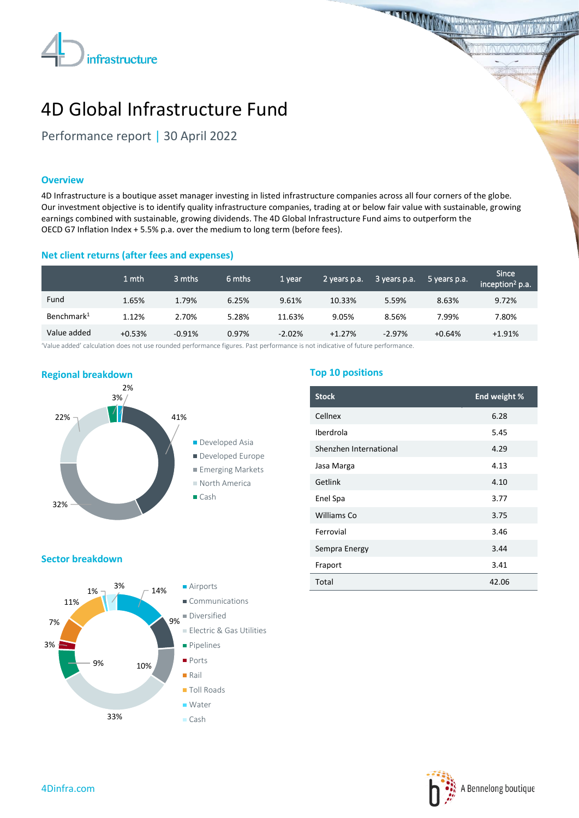

**THE MANUFACTURER** 

# 4D Global Infrastructure Fund

Performance report | 30 April 2022

# **Overview**

4D Infrastructure is a boutique asset manager investing in listed infrastructure companies across all four corners of the globe. Our investment objective is to identify quality infrastructure companies, trading at or below fair value with sustainable, growing earnings combined with sustainable, growing dividends. The 4D Global Infrastructure Fund aims to outperform the OECD G7 Inflation Index + 5.5% p.a. over the medium to long term (before fees).

# **Net client returns (after fees and expenses)**

|                        | 1 mth    | 3 mths   | 6 mths | 1 year   | 2 years p.a. | 3 years p.a. | 5 years p.a. | <b>Since</b><br>inception <sup>2</sup> p.a. |
|------------------------|----------|----------|--------|----------|--------------|--------------|--------------|---------------------------------------------|
| Fund                   | 1.65%    | 1.79%    | 6.25%  | 9.61%    | 10.33%       | 5.59%        | 8.63%        | 9.72%                                       |
| Benchmark <sup>1</sup> | 1.12%    | 2.70%    | 5.28%  | 11.63%   | 9.05%        | 8.56%        | 7.99%        | 7.80%                                       |
| Value added            | $+0.53%$ | $-0.91%$ | 0.97%  | $-2.02%$ | $+1.27%$     | $-2.97%$     | $+0.64%$     | $+1.91%$                                    |

'Value added' calculation does not use rounded performance figures. Past performance is not indicative of future performance.



# **Top 10 positions**

| <b>Stock</b>           | End weight % |
|------------------------|--------------|
| Cellnex                | 6.28         |
| Iberdrola              | 5.45         |
| Shenzhen International | 4.29         |
| Jasa Marga             | 4.13         |
| Getlink                | 4.10         |
| Enel Spa               | 3.77         |
| Williams Co            | 3.75         |
| Ferrovial              | 3.46         |
| Sempra Energy          | 3.44         |
| Fraport                | 3.41         |
| Total                  | 42.06        |

#### **Sector breakdown**



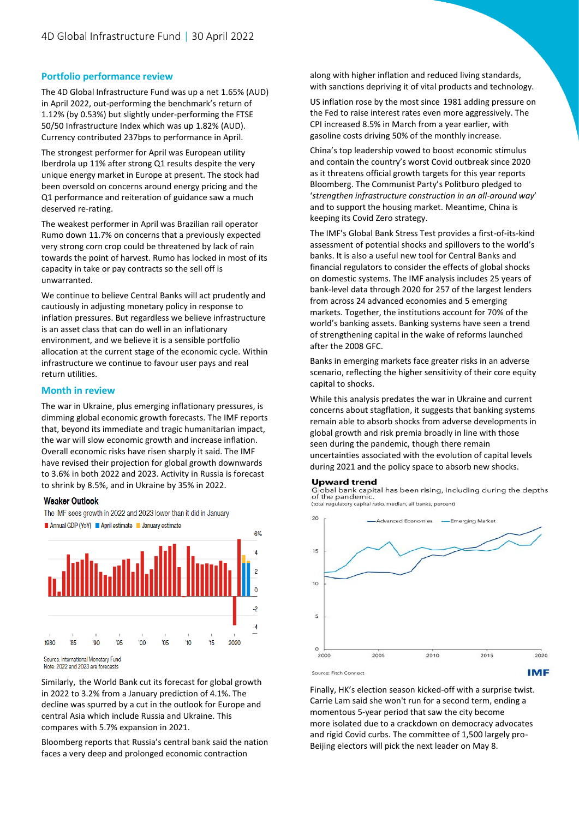# **Portfolio performance review**

The 4D Global Infrastructure Fund was up a net 1.65% (AUD) in April 2022, out-performing the benchmark's return of 1.12% (by 0.53%) but slightly under-performing the FTSE 50/50 Infrastructure Index which was up 1.82% (AUD). Currency contributed 237bps to performance in April.

The strongest performer for April was European utility Iberdrola up 11% after strong Q1 results despite the very unique energy market in Europe at present. The stock had been oversold on concerns around energy pricing and the Q1 performance and reiteration of guidance saw a much deserved re-rating.

The weakest performer in April was Brazilian rail operator Rumo down 11.7% on concerns that a previously expected very strong corn crop could be threatened by lack of rain towards the point of harvest. Rumo has locked in most of its capacity in take or pay contracts so the sell off is unwarranted.

We continue to believe Central Banks will act prudently and cautiously in adjusting monetary policy in response to inflation pressures. But regardless we believe infrastructure is an asset class that can do well in an inflationary environment, and we believe it is a sensible portfolio allocation at the current stage of the economic cycle. Within infrastructure we continue to favour user pays and real return utilities.

#### **Month in review**

The war in Ukraine, plus emerging inflationary pressures, is dimming global economic growth forecasts. The IMF reports that, beyond its immediate and tragic humanitarian impact, the war will slow economic growth and increase inflation. Overall economic risks have risen sharply it said. The IMF have revised their projection for global growth downwards to 3.6% in both 2022 and 2023. Activity in Russia is forecast to shrink by 8.5%, and in Ukraine by 35% in 2022.

#### **Weaker Outlook**

The IMF sees growth in 2022 and 2023 lower than it did in January



Source: International Monetary Fund Note: 2022 and 2023 are forecasts

Similarly, the World Bank cut its forecast for global growth in 2022 to 3.2% from a January prediction of 4.1%. The decline was spurred by a cut in the outlook for Europe and central Asia which include Russia and Ukraine. This compares with 5.7% expansion in 2021.

Bloomberg reports that Russia's central bank said the nation faces a very deep and prolonged economic contraction

along with higher inflation and reduced living standards, with sanctions depriving it of vital products and technology.

US inflation rose by the most since 1981 adding pressure on the Fed to raise interest rates even more aggressively. The CPI increased 8.5% in March from a year earlier, with gasoline costs driving 50% of the monthly increase.

China's top leadership vowed to boost economic stimulus and contain the country's worst Covid outbreak since 2020 as it threatens official growth targets for this year reports Bloomberg. The Communist Party's Politburo pledged to '*strengthen infrastructure construction in an all-around way*' and to support the housing market. Meantime, China is keeping its Covid Zero strategy.

The IMF's Global Bank Stress Test provides a first-of-its-kind assessment of potential shocks and spillovers to the world's banks. It is also a useful new tool for Central Banks and financial regulators to consider the effects of global shocks on domestic systems. The IMF analysis includes 25 years of bank-level data through 2020 for 257 of the largest lenders from across 24 advanced economies and 5 emerging markets. Together, the institutions account for 70% of the world's banking assets. Banking systems have seen a trend of strengthening capital in the wake of reforms launched after the 2008 GFC.

Banks in emerging markets face greater risks in an adverse scenario, reflecting the higher sensitivity of their core equity capital to shocks.

While this analysis predates the war in Ukraine and current concerns about stagflation, it suggests that banking systems remain able to absorb shocks from adverse developments in global growth and risk premia broadly in line with those seen during the pandemic, though there remain uncertainties associated with the evolution of capital levels during 2021 and the policy space to absorb new shocks.

#### **Upward trend**

Global bank capital has been rising, including during the depths<br>of the pandemic. (total regulatory capital ratio, median, all banks, percent)



Finally, HK's election season kicked-off with a surprise twist. Carrie Lam said she won't run for a second term, ending a momentous 5-year period that saw the city become more isolated due to a crackdown on democracy advocates and rigid Covid curbs. The committee of 1,500 largely pro-Beijing electors will pick the next leader on May 8.